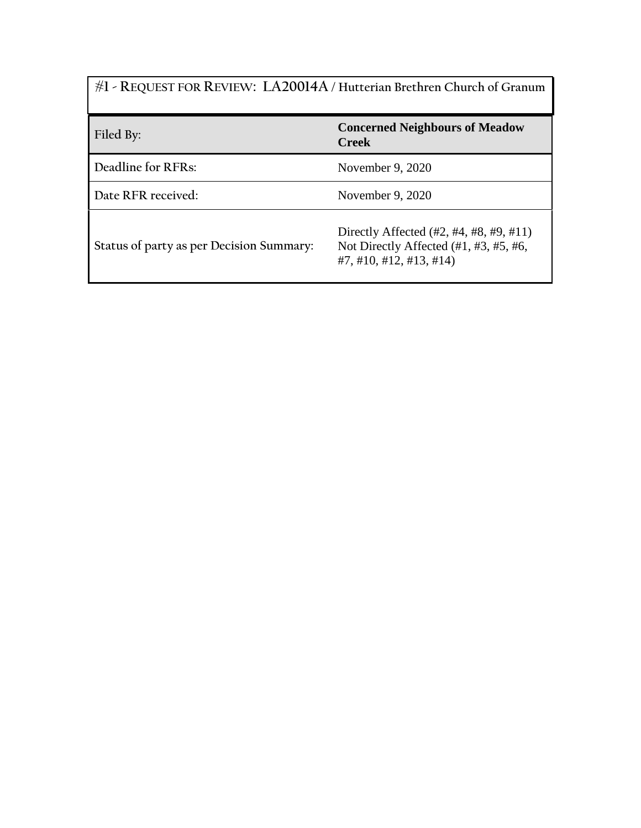| #1 - REQUEST FOR REVIEW: LA20014A / Hutterian Brethren Church of Granum |                                                                                                                           |
|-------------------------------------------------------------------------|---------------------------------------------------------------------------------------------------------------------------|
| Filed By:                                                               | <b>Concerned Neighbours of Meadow</b><br><b>Creek</b>                                                                     |
| Deadline for RFRs:                                                      | November 9, 2020                                                                                                          |
| Date RFR received:                                                      | November 9, 2020                                                                                                          |
| Status of party as per Decision Summary:                                | Directly Affected $(\#2, \#4, \#8, \#9, \#11)$<br>Not Directly Affected $(\#1, \#3, \#5, \#6,$<br>#7, #10, #12, #13, #14) |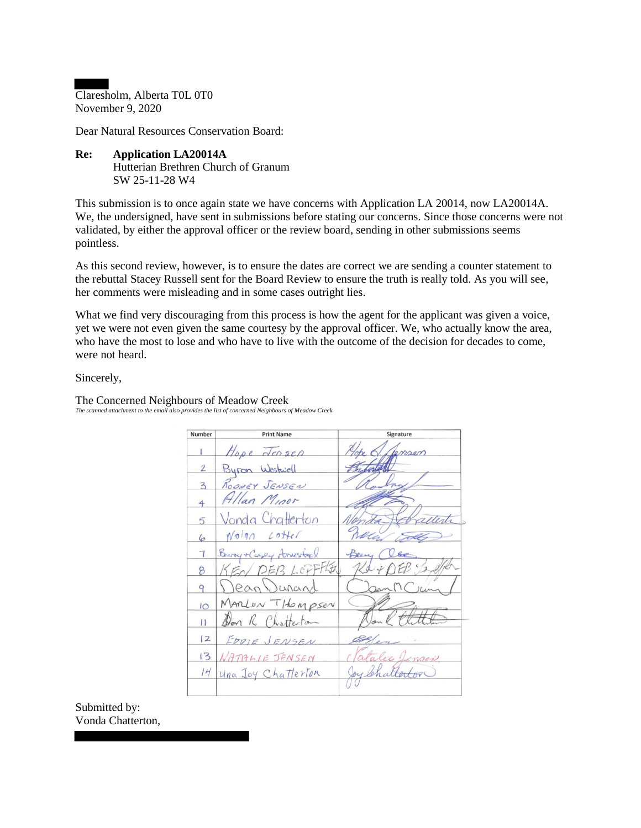Claresholm, Alberta T0L 0T0 November 9, 2020

Dear Natural Resources Conservation Board:

**Re: Application LA20014A**  Hutterian Brethren Church of Granum SW 25-11-28 W4

This submission is to once again state we have concerns with Application LA 20014, now LA20014A. We, the undersigned, have sent in submissions before stating our concerns. Since those concerns were not validated, by either the approval officer or the review board, sending in other submissions seems pointless.

As this second review, however, is to ensure the dates are correct we are sending a counter statement to the rebuttal Stacey Russell sent for the Board Review to ensure the truth is really told. As you will see, her comments were misleading and in some cases outright lies.

What we find very discouraging from this process is how the agent for the applicant was given a voice, yet we were not even given the same courtesy by the approval officer. We, who actually know the area, who have the most to lose and who have to live with the outcome of the decision for decades to come, were not heard

Sincerely,

Number **Print Name** Signature  $\sqrt{e}$  sep noon  $\overline{2}$ 3 lan  $\overline{4}$ atterton 5  $L$  offe  $Nojg$ 6  $-B$ 比五 8 9 OSEN  $10<sup>o</sup>$  $\overline{11}$  $|2$ 13  $NATHLLE$  $14$ Una Joy Chatterton

The Concerned Neighbours of Meadow Creek *The scanned attachment to the email also provides the list of concerned Neighbours of Meadow Creek*

Submitted by: Vonda Chatterton,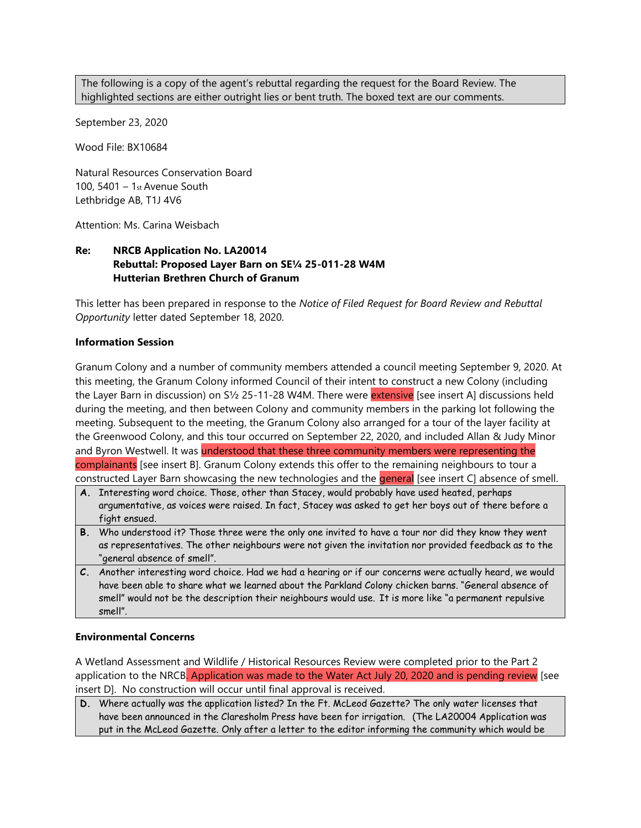The following is a copy of the agent's rebuttal regarding the request for the Board Review. The highlighted sections are either outright lies or bent truth. The boxed text are our comments.

September 23, 2020

Wood File: BX10684

Natural Resources Conservation Board 100, 5401 – 1st Avenue South Lethbridge AB, T1J 4V6

Attention: Ms. Carina Weisbach

# **Re: NRCB Application No. LA20014 Rebuttal: Proposed Layer Barn on SE¼ 25-011-28 W4M Hutterian Brethren Church of Granum**

This letter has been prepared in response to the *Notice of Filed Request for Board Review and Rebuttal Opportunity* letter dated September 18, 2020.

#### **Information Session**

Granum Colony and a number of community members attended a council meeting September 9, 2020. At this meeting, the Granum Colony informed Council of their intent to construct a new Colony (including the Layer Barn in discussion) on S1/2 25-11-28 W4M. There were extensive [see insert A] discussions held during the meeting, and then between Colony and community members in the parking lot following the meeting. Subsequent to the meeting, the Granum Colony also arranged for a tour of the layer facility at the Greenwood Colony, and this tour occurred on September 22, 2020, and included Allan & Judy Minor and Byron Westwell. It was understood that these three community members were representing the complainants [see insert B]. Granum Colony extends this offer to the remaining neighbours to tour a constructed Layer Barn showcasing the new technologies and the general [see insert C] absence of smell.

- **A.** Interesting word choice. Those, other than Stacey, would probably have used heated, perhaps argumentative, as voices were raised. In fact, Stacey was asked to get her boys out of there before a fight ensued.
- **B.** Who understood it? Those three were the only one invited to have a tour nor did they know they went as representatives. The other neighbours were not given the invitation nor provided feedback as to the "general absence of smell".
- **C.** Another interesting word choice. Had we had a hearing or if our concerns were actually heard, we would have been able to share what we learned about the Parkland Colony chicken barns. "General absence of smell" would not be the description their neighbours would use. It is more like "a permanent repulsive smell".

#### **Environmental Concerns**

A Wetland Assessment and Wildlife / Historical Resources Review were completed prior to the Part 2 application to the NRCB. Application was made to the Water Act July 20, 2020 and is pending review [see insert D]. No construction will occur until final approval is received.

**D.** Where actually was the application listed? In the Ft. McLeod Gazette? The only water licenses that have been announced in the Claresholm Press have been for irrigation. (The LA20004 Application was put in the McLeod Gazette. Only after a letter to the editor informing the community which would be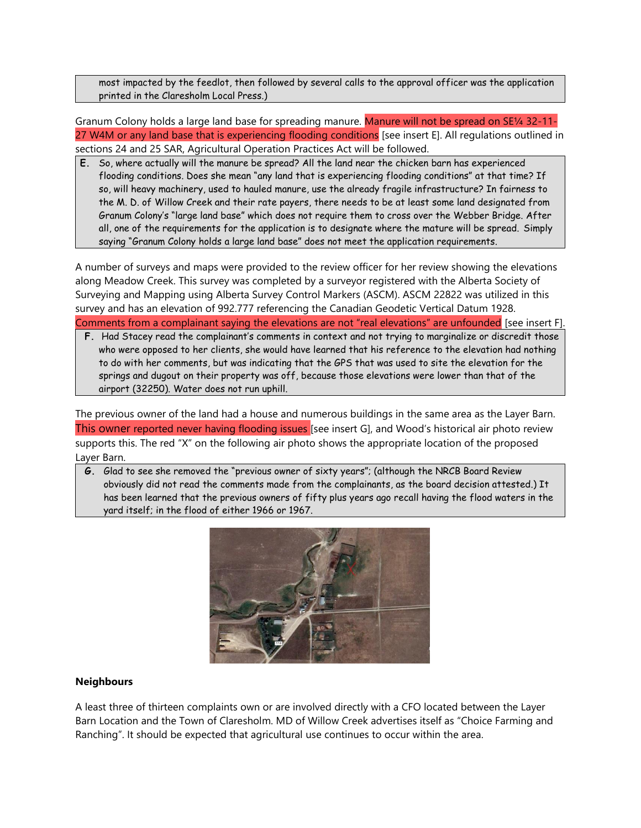most impacted by the feedlot, then followed by several calls to the approval officer was the application printed in the Claresholm Local Press.)

Granum Colony holds a large land base for spreading manure. Manure will not be spread on SE¼ 32-11- 27 W4M or any land base that is experiencing flooding conditions [see insert E]. All regulations outlined in sections 24 and 25 SAR, Agricultural Operation Practices Act will be followed.

**E.** So, where actually will the manure be spread? All the land near the chicken barn has experienced flooding conditions. Does she mean "any land that is experiencing flooding conditions" at that time? If so, will heavy machinery, used to hauled manure, use the already fragile infrastructure? In fairness to the M. D. of Willow Creek and their rate payers, there needs to be at least some land designated from Granum Colony's "large land base" which does not require them to cross over the Webber Bridge. After all, one of the requirements for the application is to designate where the mature will be spread. Simply saying "Granum Colony holds a large land base" does not meet the application requirements.

A number of surveys and maps were provided to the review officer for her review showing the elevations along Meadow Creek. This survey was completed by a surveyor registered with the Alberta Society of Surveying and Mapping using Alberta Survey Control Markers (ASCM). ASCM 22822 was utilized in this survey and has an elevation of 992.777 referencing the Canadian Geodetic Vertical Datum 1928. Comments from a complainant saying the elevations are not "real elevations" are unfounded [see insert F].

**F.** Had Stacey read the complainant's comments in context and not trying to marginalize or discredit those who were opposed to her clients, she would have learned that his reference to the elevation had nothing to do with her comments, but was indicating that the GPS that was used to site the elevation for the springs and dugout on their property was off, because those elevations were lower than that of the airport (32250). Water does not run uphill.

The previous owner of the land had a house and numerous buildings in the same area as the Layer Barn. This owner reported never having flooding issues [see insert G], and Wood's historical air photo review supports this. The red "X" on the following air photo shows the appropriate location of the proposed Layer Barn.

**G.** Glad to see she removed the "previous owner of sixty years"; (although the NRCB Board Review obviously did not read the comments made from the complainants, as the board decision attested.) It has been learned that the previous owners of fifty plus years ago recall having the flood waters in the yard itself; in the flood of either 1966 or 1967.



### **Neighbours**

A least three of thirteen complaints own or are involved directly with a CFO located between the Layer Barn Location and the Town of Claresholm. MD of Willow Creek advertises itself as "Choice Farming and Ranching". It should be expected that agricultural use continues to occur within the area.